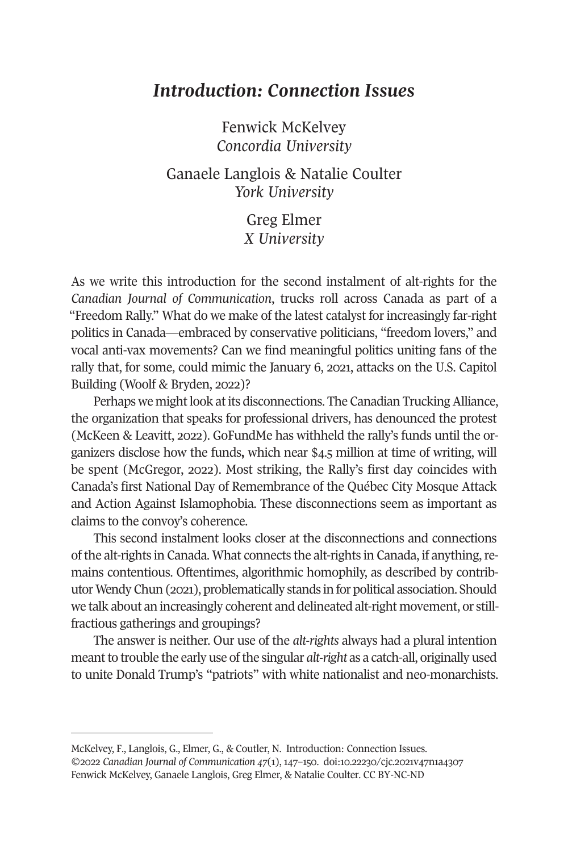## *Introduction: Connection Issues*

Fenwick McKelvey *Concordia University* 

Ganaele Langlois & Natalie Coulter *York University* 

> Greg Elmer *X University*

As we write this introduction for the second instalment of alt-rights for the *Canadian Journal of Communication*, trucks roll across Canada as part of a "Freedom Rally." What do we make of the latest catalyst for increasingly far-right politics in Canada—embraced by conservative politicians, "freedom lovers," and vocal anti-vax movements? Can we find meaningful politics uniting fans of the rally that, for some, could mimic the January 6, 2021, attacks on the U.S. Capitol Building (Woolf & Bryden, 2022)?

Perhaps we might look at its disconnections. The Canadian Trucking Alliance, the organization that speaks for professional drivers, has denounced the protest (McKeen & Leavitt, 2022). GoFundMe has withheld the rally's funds until the organizers disclose how the funds**,** which near \$4.5 million at time of writing, will be spent (McGregor, 2022). Most striking, the Rally's first day coincides with Canada's first National Day of Remembrance of the Québec City Mosque Attack and Action Against Islamophobia. These disconnections seem as important as claims to the convoy's coherence.

This second instalment looks closer at the disconnections and connections of the alt-rights in Canada. What connects the alt-rights in Canada, if anything, remains contentious. Oftentimes, algorithmic homo[phily, as described by co](https://doi.org/10.22230/cjc.2021v47n1a4307)ntributor Wendy Chun (2021), problematically stands in for political association. Should we talk about an increasingly coherent and delineated alt-right movement, or stillfractious gatherings and groupings?

The answer is neither. Our use of the *alt-rights* always had a plural intention meant to trouble the early use of the singular *alt-right* as a catch-all, originally used to unite Donald Trump's "patriots" with white nationalist and neo-monarchists.

McKelvey, F., Langlois, G., Elmer, G., & Coutler, N. Introduction: Connection Issues. ©2022 *Canadian Journal of Communication 47*(1), 147–150. doi:10.22230/cjc.2021v47n1a4307 Fenwick McKelvey, Ganaele Langlois, Greg Elmer, & Natalie Coulter. CC BY-NC-ND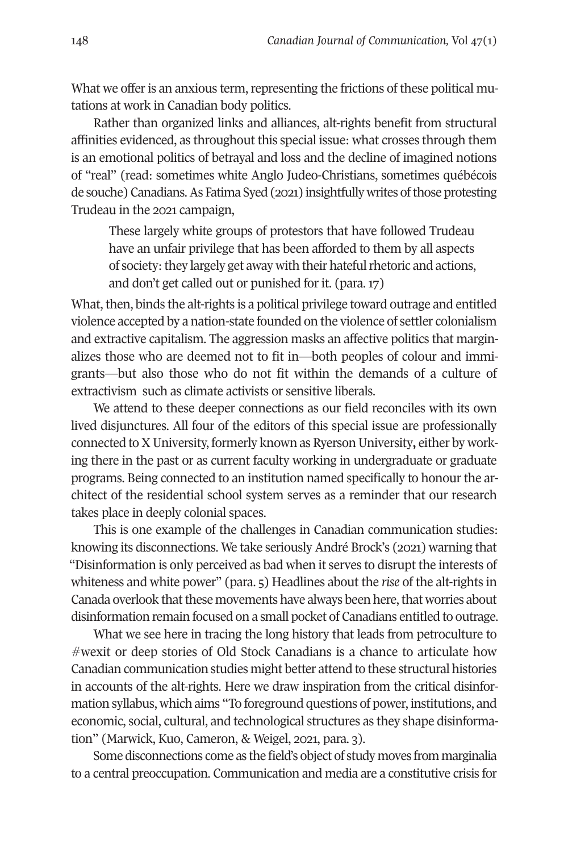148 *Canadian Journal of Communication,* Vol 47(1)

What we offer is an anxious term, representing the frictions of these political mutations at work in Canadian body politics.

Rather than organized links and alliances, alt-rights benefit from structural affinities evidenced, as throughout this special issue: what crosses through them is an emotional politics of betrayal and loss and the decline of imagined notions of "real" (read: sometimes white Anglo Judeo-Christians, sometimes québécois de souche) Canadians. As Fatima Syed (2021) insightfully writes of those protesting Trudeau in the 2021 campaign,

These largely white groups of protestors that have followed Trudeau have an unfair privilege that has been afforded to them by all aspects of society: they largely get away with their hateful rhetoric and actions, and don't get called out or punished for it. (para. 17)

What, then, binds the alt-rights is a political privilege toward outrage and entitled violence accepted by a nation-state founded on the violence of settler colonialism and extractive capitalism. The aggression masks an affective politics that marginalizes those who are deemed not to fit in—both peoples of colour and immigrants—but also those who do not fit within the demands of a culture of extractivism such as climate activists or sensitive liberals.

We attend to these deeper connections as our field reconciles with its own lived disjunctures. All four of the editors of this special issue are professionally connected to X University, formerly known as Ryerson University**,** either by working there in the past or as current faculty working in undergraduate or graduate programs. Being connected to an institution named specifically to honour the architect of the residential school system serves as a reminder that our research takes place in deeply colonial spaces.

This is one example of the challenges in Canadian communication studies: knowing its disconnections. We take seriously André Brock's (2021) warning that "Disinformation is only perceived as bad when it serves to disrupt the interests of whiteness and white power" (para. 5) Headlines about the *rise* of the alt-rights in Canada overlook that these movements have always been here, that worries about disinformation remain focused on a small pocket of Canadians entitled to outrage.

What we see here in tracing the long history that leads from petroculture to #wexit or deep stories of Old Stock Canadians is a chance to articulate how Canadian communication studies might better attend to these structural histories in accounts of the alt-rights. Here we draw inspiration from the critical disinformation syllabus, which aims "To foreground questions of power, institutions, and economic, social, cultural, and technological structures as they shape disinformation" (Marwick, Kuo, Cameron, & Weigel, 2021, para. 3).

Some disconnections come as the field's object of study moves from marginalia to a central preoccupation. Communication and media are a constitutive crisis for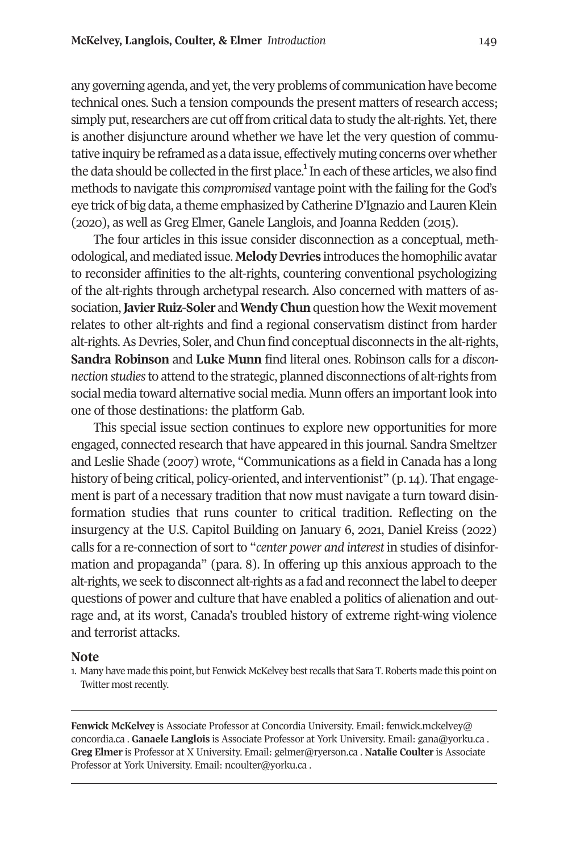## **McKelvey, Langlois, Coulter, & Elmer** *Introduction* 149

any governing agenda, and yet, the very problems of communication have become technical ones. Such a tension compounds the present matters of research access; simply put, researchers are cut off from critical data to study the alt-rights. Yet, there is another disjuncture around whether we have let the very question of commutative inquiry be reframed as a data issue, effectively muting concerns over whether the data should be collected in the first place.<sup>1</sup> In each of these articles, we also find methods to navigate this *compromised* vantage point with the failing for the God's eye trick of big data, a theme emphasized by Catherine D'Ignazio and Lauren Klein (2020), as well as Greg Elmer, Ganele Langlois, and Joanna Redden (2015).

The four articles in this issue consider disconnection as a conceptual, methodological, and mediated issue. **Melody Devries** introduces the homophilic avatar to reconsider affinities to the alt-rights, countering conventional psychologizing of the alt-rights through archetypal research. Also concerned with matters of association, **Javier Ruiz-Soler** and **Wendy Chun** question how the Wexit movement relates to other alt-rights and find a regional conservatism distinct from harder alt-rights. As Devries, Soler, and Chun find conceptual disconnects in the alt-rights, **Sandra Robinson** and **Luke Munn** find literal ones. Robinson calls for a *disconnection studies* to attend to the strategic, planned disconnections of alt-rights from social media toward alternative social media. Munn offers an important look into one of those destinations: the platform Gab.

This special issue section continues to explore new opportunities for more engaged, connected research that have appeared in this journal. Sandra Smeltzer and Leslie Shade (2007) wrote, "Communications as a field in Canada has a long history of being critical, policy-oriented, and interventionist" (p. 14). That engagement is part of a necessary tradition that now must navigate a turn toward disinformation studies that runs counter to critical tradition. Reflecting on the insurgency at the U.S. Capitol Building on January 6, 2021, [Daniel Kreiss \(20](mailto:fenwick.mckelvey@concordia.ca)22) [calls for a r](mailto:fenwick.mckelvey@concordia.ca)e-connection of sort to "*center power and interest* in st[udies of disinfo](mailto:gana@yorku.ca)rmation and propaganda" (para. 8). I[n offering up this](mailto:gelmer@ryerson.ca) anxious approach to the alt-rights, we seek to disconn[ect alt-rights as a f](mailto:ncoulter@yorku.ca)ad and reconnect the label to deeper questions of power and culture that have enabled a politics of alienation and outrage and, at its worst, Canada's troubled history of extreme right-wing violence and terrorist attacks.

## **Note**

1. Many have made this point, but Fenwick McKelvey best recalls that Sara T. Roberts made this point on Twitter most recently.

**Fenwick McKelvey** is Associate Professor at Concordia University. Email: fenwick.mckelvey@ concordia.ca . **Ganaele Langlois** is Associate Professor at York University. Email: gana@yorku.ca . **Greg Elmer** is Professor at X University. Email: gelmer@ryerson.ca . **Natalie Coulter** is Associate Professor at York University. Email: ncoulter@yorku.ca .